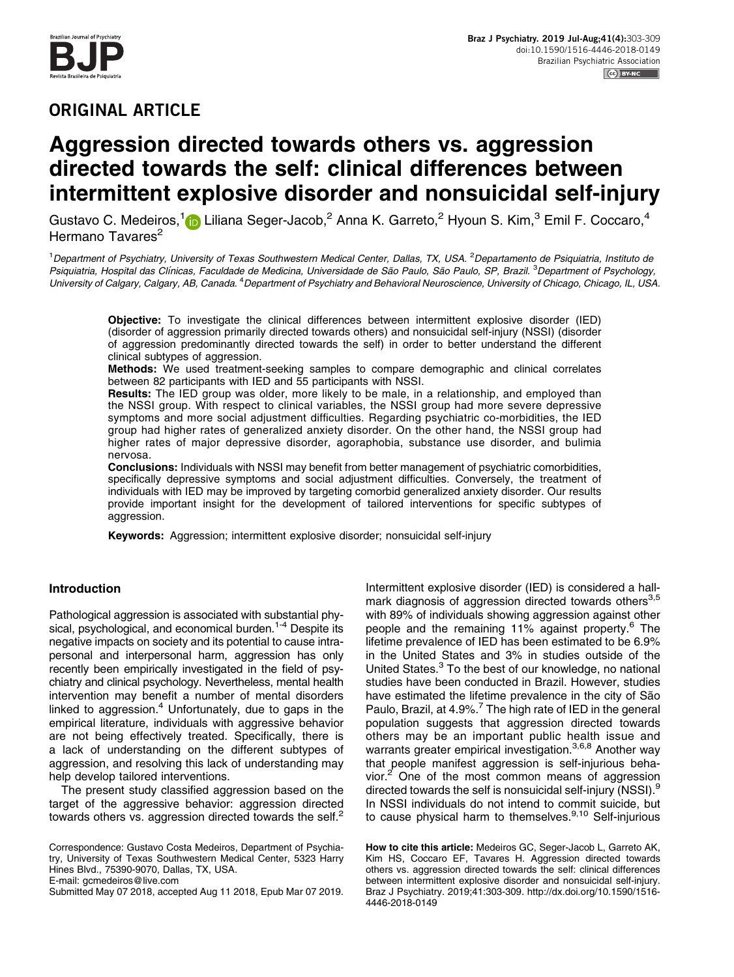

# ORIGINAL ARTICLE

# Aggression directed towards others vs. aggression directed towards the self: clinical differences between intermittent explosive disorder and nonsuicidal self-injury

Gustavo C. Medeiros,<sup>1</sup> Liliana Seger-Jacob,<sup>2</sup> Anna K. Garreto,<sup>2</sup> Hyoun S. Kim,<sup>3</sup> Emil F. Coccaro,<sup>4</sup> Hermano Tavares<sup>2</sup>

<sup>1</sup> Department of Psychiatry, University of Texas Southwestern Medical Center, Dallas, TX, USA. <sup>2</sup> Departamento de Psiquiatria, Instituto de Psiquiatria, Hospital das Clínicas, Faculdade de Medicina, Universidade de São Paulo, São Paulo, SP, Brazil. <sup>3</sup>Department of Psychology, University of Calgary, Calgary, AB, Canada. <sup>4</sup>Department of Psychiatry and Behavioral Neuroscience, University of Chicago, Chicago, IL, USA.

Objective: To investigate the clinical differences between intermittent explosive disorder (IED) (disorder of aggression primarily directed towards others) and nonsuicidal self-injury (NSSI) (disorder of aggression predominantly directed towards the self) in order to better understand the different clinical subtypes of aggression.

Methods: We used treatment-seeking samples to compare demographic and clinical correlates between 82 participants with IED and 55 participants with NSSI.

Results: The IED group was older, more likely to be male, in a relationship, and employed than the NSSI group. With respect to clinical variables, the NSSI group had more severe depressive symptoms and more social adjustment difficulties. Regarding psychiatric co-morbidities, the IED group had higher rates of generalized anxiety disorder. On the other hand, the NSSI group had higher rates of major depressive disorder, agoraphobia, substance use disorder, and bulimia nervosa.

Conclusions: Individuals with NSSI may benefit from better management of psychiatric comorbidities, specifically depressive symptoms and social adjustment difficulties. Conversely, the treatment of individuals with IED may be improved by targeting comorbid generalized anxiety disorder. Our results provide important insight for the development of tailored interventions for specific subtypes of aggression.

Keywords: Aggression; intermittent explosive disorder; nonsuicidal self-injury

# Introduction

Pathological aggression is associated with substantial physical, psychological, and economical burden.<sup>1-4</sup> Despite its negative impacts on society and its potential to cause intrapersonal and interpersonal harm, aggression has only recently been empirically investigated in the field of psychiatry and clinical psychology. Nevertheless, mental health intervention may benefit a number of mental disorders linked to aggression.<sup>[4](#page-5-0)</sup> Unfortunately, due to gaps in the empirical literature, individuals with aggressive behavior are not being effectively treated. Specifically, there is a lack of understanding on the different subtypes of aggression, and resolving this lack of understanding may help develop tailored interventions.

The present study classified aggression based on the target of the aggressive behavior: aggression directed towards others vs. aggression directed towards the self. $<sup>2</sup>$  $<sup>2</sup>$  $<sup>2</sup>$ </sup>

Correspondence: Gustavo Costa Medeiros, Department of Psychiatry, University of Texas Southwestern Medical Center, 5323 Harry Hines Blvd., 75390-9070, Dallas, TX, USA. E-mail: [gcmedeiros@live.com](mailto:gcmedeiros@live.com)

Submitted May 07 2018, accepted Aug 11 2018, Epub Mar 07 2019.

Intermittent explosive disorder (IED) is considered a hallmark diagnosis of aggression directed towards others $^{3,5}$ with 89% of individuals showing aggression against other people and the remaining 11% against property.<sup>[6](#page-5-0)</sup> The lifetime prevalence of IED has been estimated to be 6.9% in the United States and 3% in studies outside of the United States.<sup>3</sup> To the best of our knowledge, no national studies have been conducted in Brazil. However, studies have estimated the lifetime prevalence in the city of São Paulo, Brazil, at 4.9%.<sup>[7](#page-5-0)</sup> The high rate of IED in the general population suggests that aggression directed towards others may be an important public health issue and warrants greater empirical investigation.<sup>3,6,8</sup> Another way that people manifest aggression is self-injurious behavior. $2$  One of the most common means of aggression directed towards the self is nonsuicidal self-injury (NSSI)[.9](#page-5-0) In NSSI individuals do not intend to commit suicide, but to cause physical harm to themselves. $9,10$  Self-injurious

How to cite this article: Medeiros GC, Seger-Jacob L, Garreto AK, Kim HS, Coccaro EF, Tavares H. Aggression directed towards others vs. aggression directed towards the self: clinical differences between intermittent explosive disorder and nonsuicidal self-injury. Braz J Psychiatry. 2019;41:303-309. [http://dx.doi.org/10.1590/1516-](http://dx.doi.org/10.1590/1516-4446-2018-0149) [4446-2018-0149](http://dx.doi.org/10.1590/1516-4446-2018-0149)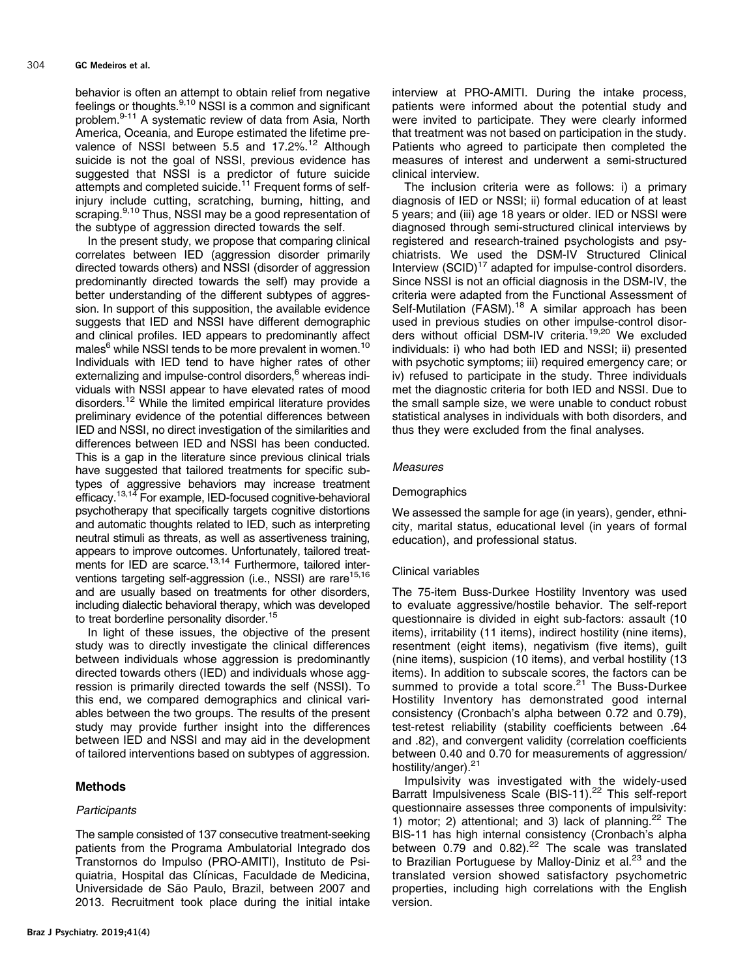behavior is often an attempt to obtain relief from negative feelings or thoughts. $9,10$  NSSI is a common and significant problem[.9-11](#page-5-0) A systematic review of data from Asia, North America, Oceania, and Europe estimated the lifetime pre-valence of NSSI between 5.5 and 17.2%.<sup>[12](#page-5-0)</sup> Although suicide is not the goal of NSSI, previous evidence has suggested that NSSI is a predictor of future suicide attempts and completed suicide.<sup>[11](#page-5-0)</sup> Frequent forms of selfinjury include cutting, scratching, burning, hitting, and scraping.<sup>9,10</sup> Thus, NSSI may be a good representation of the subtype of aggression directed towards the self.

In the present study, we propose that comparing clinical correlates between IED (aggression disorder primarily directed towards others) and NSSI (disorder of aggression predominantly directed towards the self) may provide a better understanding of the different subtypes of aggression. In support of this supposition, the available evidence suggests that IED and NSSI have different demographic and clinical profiles. IED appears to predominantly affect males<sup>6</sup> while NSSI tends to be more prevalent in women.<sup>[10](#page-5-0)</sup> Individuals with IED tend to have higher rates of other externalizing and impulse-control disorders,<sup>6</sup> whereas individuals with NSSI appear to have elevated rates of mood disorders.[12](#page-5-0) While the limited empirical literature provides preliminary evidence of the potential differences between IED and NSSI, no direct investigation of the similarities and differences between IED and NSSI has been conducted. This is a gap in the literature since previous clinical trials have suggested that tailored treatments for specific subtypes of aggressive behaviors may increase treatment efficacy.<sup>13,14</sup> For example, IED-focused cognitive-behavioral psychotherapy that specifically targets cognitive distortions and automatic thoughts related to IED, such as interpreting neutral stimuli as threats, as well as assertiveness training, appears to improve outcomes. Unfortunately, tailored treat-ments for IED are scarce.<sup>[13,14](#page-5-0)</sup> Furthermore, tailored interventions targeting self-aggression (i.e., NSSI) are rare<sup>15,16</sup> and are usually based on treatments for other disorders, including dialectic behavioral therapy, which was developed to treat borderline personality disorder.<sup>[15](#page-5-0)</sup>

In light of these issues, the objective of the present study was to directly investigate the clinical differences between individuals whose aggression is predominantly directed towards others (IED) and individuals whose aggression is primarily directed towards the self (NSSI). To this end, we compared demographics and clinical variables between the two groups. The results of the present study may provide further insight into the differences between IED and NSSI and may aid in the development of tailored interventions based on subtypes of aggression.

# Methods

# **Participants**

The sample consisted of 137 consecutive treatment-seeking patients from the Programa Ambulatorial Integrado dos Transtornos do Impulso (PRO-AMITI), Instituto de Psiquiatria, Hospital das Clínicas, Faculdade de Medicina, Universidade de São Paulo, Brazil, between 2007 and 2013. Recruitment took place during the initial intake interview at PRO-AMITI. During the intake process, patients were informed about the potential study and were invited to participate. They were clearly informed that treatment was not based on participation in the study. Patients who agreed to participate then completed the measures of interest and underwent a semi-structured clinical interview.

The inclusion criteria were as follows: i) a primary diagnosis of IED or NSSI; ii) formal education of at least 5 years; and (iii) age 18 years or older. IED or NSSI were diagnosed through semi-structured clinical interviews by registered and research-trained psychologists and psychiatrists. We used the DSM-IV Structured Clinical Interview  $(SCID)^{17}$  $(SCID)^{17}$  $(SCID)^{17}$  adapted for impulse-control disorders. Since NSSI is not an official diagnosis in the DSM-IV, the criteria were adapted from the Functional Assessment of Self-Mutilation (FASM).<sup>[18](#page-5-0)</sup> A similar approach has been used in previous studies on other impulse-control disor-ders without official DSM-IV criteria.<sup>[19,20](#page-5-0)</sup> We excluded individuals: i) who had both IED and NSSI; ii) presented with psychotic symptoms; iii) required emergency care; or iv) refused to participate in the study. Three individuals met the diagnostic criteria for both IED and NSSI. Due to the small sample size, we were unable to conduct robust statistical analyses in individuals with both disorders, and thus they were excluded from the final analyses.

# Measures

#### **Demographics**

We assessed the sample for age (in years), gender, ethnicity, marital status, educational level (in years of formal education), and professional status.

#### Clinical variables

The 75-item Buss-Durkee Hostility Inventory was used to evaluate aggressive/hostile behavior. The self-report questionnaire is divided in eight sub-factors: assault (10 items), irritability (11 items), indirect hostility (nine items), resentment (eight items), negativism (five items), guilt (nine items), suspicion (10 items), and verbal hostility (13 items). In addition to subscale scores, the factors can be summed to provide a total score.<sup>[21](#page-5-0)</sup> The Buss-Durkee Hostility Inventory has demonstrated good internal consistency (Cronbach's alpha between 0.72 and 0.79), test-retest reliability (stability coefficients between .64 and .82), and convergent validity (correlation coefficients between 0.40 and 0.70 for measurements of aggression/ hostility/anger).<sup>[21](#page-5-0)</sup>

Impulsivity was investigated with the widely-used Barratt Impulsiveness Scale (BIS-11).<sup>[22](#page-5-0)</sup> This self-report questionnaire assesses three components of impulsivity: 1) motor; 2) attentional; and 3) lack of planning. $22$  The BIS-11 has high internal consistency (Cronbach's alpha between  $0.79$  and  $0.82$ ).<sup>[22](#page-5-0)</sup> The scale was translated to Brazilian Portuguese by Malloy-Diniz et al.<sup>[23](#page-5-0)</sup> and the translated version showed satisfactory psychometric properties, including high correlations with the English version.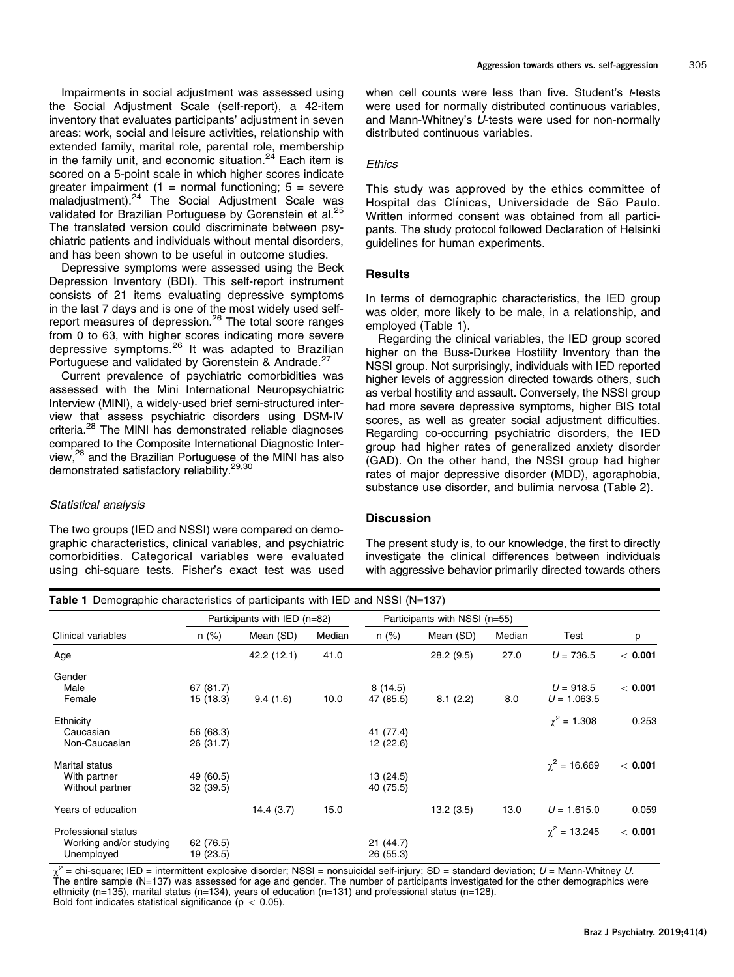Impairments in social adjustment was assessed using the Social Adjustment Scale (self-report), a 42-item inventory that evaluates participants' adjustment in seven areas: work, social and leisure activities, relationship with extended family, marital role, parental role, membership in the family unit, and economic situation. $24$  Each item is scored on a 5-point scale in which higher scores indicate greater impairment  $(1 = normal functioning; 5 = severe$ maladjustment).[24](#page-5-0) The Social Adjustment Scale was validated for Brazilian Portuguese by Gorenstein et al.<sup>25</sup> The translated version could discriminate between psychiatric patients and individuals without mental disorders, and has been shown to be useful in outcome studies.

Depressive symptoms were assessed using the Beck Depression Inventory (BDI). This self-report instrument consists of 21 items evaluating depressive symptoms in the last 7 days and is one of the most widely used selfreport measures of depression.<sup>26</sup> The total score ranges from 0 to 63, with higher scores indicating more severe depressive symptoms.[26](#page-5-0) It was adapted to Brazilian Portuguese and validated by Gorenstein & Andrade.<sup>[27](#page-5-0)</sup>

Current prevalence of psychiatric comorbidities was assessed with the Mini International Neuropsychiatric Interview (MINI), a widely-used brief semi-structured interview that assess psychiatric disorders using DSM-IV criteria[.28](#page-5-0) The MINI has demonstrated reliable diagnoses compared to the Composite International Diagnostic Interview,<sup>28</sup> and the Brazilian Portuguese of the MINI has also demonstrated satisfactory reliability.<sup>29,30</sup>

#### Statistical analysis

The two groups (IED and NSSI) were compared on demographic characteristics, clinical variables, and psychiatric comorbidities. Categorical variables were evaluated using chi-square tests. Fisher's exact test was used when cell counts were less than five. Student's t-tests were used for normally distributed continuous variables, and Mann-Whitney's U-tests were used for non-normally distributed continuous variables.

#### **Ethics**

This study was approved by the ethics committee of Hospital das Clínicas, Universidade de São Paulo. Written informed consent was obtained from all participants. The study protocol followed Declaration of Helsinki guidelines for human experiments.

#### **Results**

In terms of demographic characteristics, the IED group was older, more likely to be male, in a relationship, and employed (Table 1).

Regarding the clinical variables, the IED group scored higher on the Buss-Durkee Hostility Inventory than the NSSI group. Not surprisingly, individuals with IED reported higher levels of aggression directed towards others, such as verbal hostility and assault. Conversely, the NSSI group had more severe depressive symptoms, higher BIS total scores, as well as greater social adjustment difficulties. Regarding co-occurring psychiatric disorders, the IED group had higher rates of generalized anxiety disorder (GAD). On the other hand, the NSSI group had higher rates of major depressive disorder (MDD), agoraphobia, substance use disorder, and bulimia nervosa ([Table 2\)](#page-3-0).

#### **Discussion**

The present study is, to our knowledge, the first to directly investigate the clinical differences between individuals with aggressive behavior primarily directed towards others

| Clinical variables      | Participants with IED (n=82) |             |        | Participants with NSSI (n=55) |           |        |                     |         |
|-------------------------|------------------------------|-------------|--------|-------------------------------|-----------|--------|---------------------|---------|
|                         | $n (\%)$                     | Mean (SD)   | Median | $n (\%)$                      | Mean (SD) | Median | Test                | p       |
| Age                     |                              | 42.2 (12.1) | 41.0   |                               | 28.2(9.5) | 27.0   | $U = 736.5$         | < 0.001 |
| Gender                  |                              |             |        |                               |           |        |                     |         |
| Male                    | 67 (81.7)                    |             |        | 8(14.5)                       |           |        | $U = 918.5$         | < 0.001 |
| Female                  | 15 (18.3)                    | 9.4(1.6)    | 10.0   | 47 (85.5)                     | 8.1(2.2)  | 8.0    | $U = 1.063.5$       |         |
| Ethnicity               |                              |             |        |                               |           |        | $\chi^2 = 1.308$    | 0.253   |
| Caucasian               | 56 (68.3)                    |             |        | 41 (77.4)                     |           |        |                     |         |
| Non-Caucasian           | 26 (31.7)                    |             |        | 12 (22.6)                     |           |        |                     |         |
| <b>Marital status</b>   |                              |             |        |                               |           |        | $\gamma^2 = 16.669$ | < 0.001 |
| With partner            | 49 (60.5)                    |             |        | 13 (24.5)                     |           |        |                     |         |
| Without partner         | 32 (39.5)                    |             |        | 40 (75.5)                     |           |        |                     |         |
| Years of education      |                              | 14.4(3.7)   | 15.0   |                               | 13.2(3.5) | 13.0   | $U = 1.615.0$       | 0.059   |
| Professional status     |                              |             |        |                               |           |        | $\gamma^2$ = 13.245 | < 0.001 |
| Working and/or studying | 62 (76.5)                    |             |        | 21(44.7)                      |           |        |                     |         |
| Unemployed              | 19 (23.5)                    |             |        | 26 (55.3)                     |           |        |                     |         |

 $=$  chi-square; IED = intermittent explosive disorder; NSSI = nonsuicidal self-injury; SD = standard deviation;  $U =$  Mann-Whitney U.  $\chi$  = cm-square, i.e. = intermittent explosive disorder, i.e. i. i.e.  $\chi$  = i.e.  $\chi$ ,  $\chi$ ,  $\chi$  =  $\chi$  =  $\chi$ ,  $\chi$ ,  $\chi$  =  $\chi$  =  $\chi$ ,  $\chi$  =  $\chi$  =  $\chi$ ,  $\chi$  =  $\chi$  =  $\chi$ ,  $\chi$  =  $\chi$  =  $\chi$  =  $\chi$  =  $\chi$  =  $\chi$  ethnicity (n=135), marital status (n=134), years of education (n=131) and professional status (n=128). Bold font indicates statistical significance ( $p < 0.05$ ).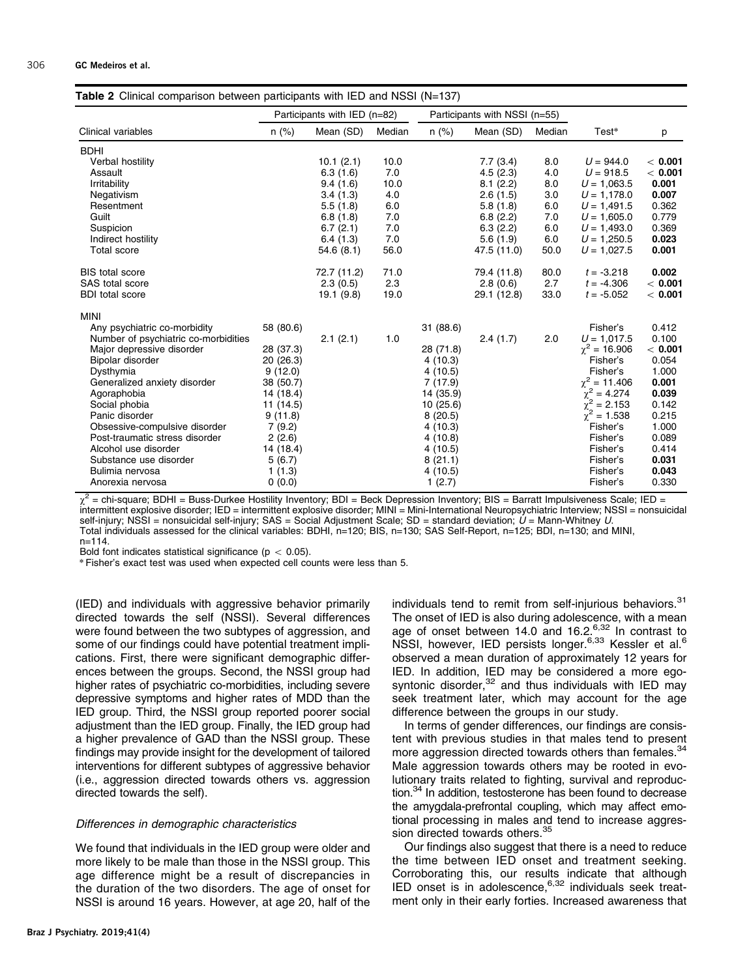<span id="page-3-0"></span>

| <b>Table 2</b> Clinical comparison between participants with IED and NSSI (N=137) |                              |             |        |                               |             |        |                                      |         |  |  |  |
|-----------------------------------------------------------------------------------|------------------------------|-------------|--------|-------------------------------|-------------|--------|--------------------------------------|---------|--|--|--|
|                                                                                   | Participants with IED (n=82) |             |        | Participants with NSSI (n=55) |             |        |                                      |         |  |  |  |
| Clinical variables                                                                | $n$ (%)                      | Mean (SD)   | Median | $n (\%)$                      | Mean (SD)   | Median | Test*                                | p       |  |  |  |
| <b>BDHI</b>                                                                       |                              |             |        |                               |             |        |                                      |         |  |  |  |
| Verbal hostility                                                                  |                              | 10.1(2.1)   | 10.0   |                               | 7.7(3.4)    | 8.0    | $U = 944.0$                          | < 0.001 |  |  |  |
| Assault                                                                           |                              | 6.3(1.6)    | 7.0    |                               | 4.5(2.3)    | 4.0    | $U = 918.5$                          | < 0.001 |  |  |  |
| Irritability                                                                      |                              | 9.4(1.6)    | 10.0   |                               | 8.1(2.2)    | 8.0    | $U = 1,063.5$                        | 0.001   |  |  |  |
| Negativism                                                                        |                              | 3.4(1.3)    | 4.0    |                               | 2.6(1.5)    | 3.0    | $U = 1,178.0$                        | 0.007   |  |  |  |
| Resentment                                                                        |                              | 5.5(1.8)    | 6.0    |                               | 5.8(1.8)    | 6.0    | $U = 1,491.5$                        | 0.362   |  |  |  |
| Guilt                                                                             |                              | 6.8(1.8)    | 7.0    |                               | 6.8(2.2)    | 7.0    | $U = 1,605.0$                        | 0.779   |  |  |  |
| Suspicion                                                                         |                              | 6.7(2.1)    | 7.0    |                               | 6.3(2.2)    | 6.0    | $U = 1,493.0$                        | 0.369   |  |  |  |
| Indirect hostility                                                                |                              | 6.4(1.3)    | 7.0    |                               | 5.6(1.9)    | 6.0    | $U = 1,250.5$                        | 0.023   |  |  |  |
| Total score                                                                       |                              | 54.6(8.1)   | 56.0   |                               | 47.5 (11.0) | 50.0   | $U = 1,027.5$                        | 0.001   |  |  |  |
| <b>BIS total score</b>                                                            |                              | 72.7 (11.2) | 71.0   |                               | 79.4 (11.8) | 80.0   | $t = -3.218$                         | 0.002   |  |  |  |
| <b>SAS</b> total score                                                            |                              | 2.3(0.5)    | 2.3    |                               | 2.8(0.6)    | 2.7    | $t = -4.306$                         | < 0.001 |  |  |  |
| <b>BDI</b> total score                                                            |                              | 19.1(9.8)   | 19.0   |                               | 29.1 (12.8) | 33.0   | $t = -5.052$                         | < 0.001 |  |  |  |
| <b>MINI</b>                                                                       |                              |             |        |                               |             |        |                                      |         |  |  |  |
| Any psychiatric co-morbidity                                                      | 58 (80.6)                    |             |        | 31 (88.6)                     |             |        | Fisher's                             | 0.412   |  |  |  |
| Number of psychiatric co-morbidities                                              |                              | 2.1(2.1)    | 1.0    |                               | 2.4(1.7)    | 2.0    | $U = 1,017.5$                        | 0.100   |  |  |  |
| Major depressive disorder                                                         | 28 (37.3)                    |             |        | 28 (71.8)                     |             |        | $\chi^2$ = 16.906                    | < 0.001 |  |  |  |
| Bipolar disorder                                                                  | 20 (26.3)                    |             |        | 4(10.3)                       |             |        | Fisher's                             | 0.054   |  |  |  |
| Dysthymia                                                                         | 9(12.0)                      |             |        | 4(10.5)                       |             |        | Fisher's                             | 1.000   |  |  |  |
| Generalized anxiety disorder                                                      | 38 (50.7)                    |             |        | 7(17.9)                       |             |        | $\chi^2$ = 11.406                    | 0.001   |  |  |  |
| Agoraphobia                                                                       | 14 (18.4)                    |             |        | 14 (35.9)                     |             |        | $\chi^2 = 4.274$<br>$\chi^2 = 2.153$ | 0.039   |  |  |  |
| Social phobia                                                                     | 11 (14.5)                    |             |        | 10(25.6)                      |             |        |                                      | 0.142   |  |  |  |
| Panic disorder                                                                    | 9(11.8)                      |             |        | 8(20.5)                       |             |        | $\chi^2$ = 1.538                     | 0.215   |  |  |  |
| Obsessive-compulsive disorder                                                     | 7(9.2)                       |             |        | 4(10.3)                       |             |        | Fisher's                             | 1.000   |  |  |  |
| Post-traumatic stress disorder                                                    | 2(2.6)                       |             |        | 4(10.8)                       |             |        | Fisher's                             | 0.089   |  |  |  |
| Alcohol use disorder                                                              | 14 (18.4)                    |             |        | 4(10.5)                       |             |        | Fisher's                             | 0.414   |  |  |  |
| Substance use disorder                                                            | 5(6.7)                       |             |        | 8(21.1)                       |             |        | Fisher's                             | 0.031   |  |  |  |
| Bulimia nervosa                                                                   | 1(1.3)                       |             |        | 4(10.5)                       |             |        | Fisher's                             | 0.043   |  |  |  |
| Anorexia nervosa                                                                  | 0(0.0)                       |             |        | 1(2.7)                        |             |        | Fisher's                             | 0.330   |  |  |  |
|                                                                                   |                              |             |        |                               |             |        |                                      |         |  |  |  |

w<sup>2</sup> = chi-square; BDHI = Buss-Durkee Hostility Inventory; BDI = Beck Depression Inventory; BIS = Barratt Impulsiveness Scale; IED =  $\chi^2$  = chi-square; BDHI = Buss-Durkee Hostility Inventory;  $\text{BDI}$  = beck Depression Inventory, Dio – Darratt inpurcenced Users,  $\chi^2$  = nonsuicidal intermittent explosive disorder; IED = intermittent explosive disord self-injury; NSSI = nonsuicidal self-injury; SAS = Social Adjustment Scale; SD = standard deviation;  $U =$  Mann-Whitney U. Total individuals assessed for the clinical variables: BDHI, n=120; BIS, n=130; SAS Self-Report, n=125; BDI, n=130; and MINI,  $n = 114$ 

Bold font indicates statistical significance ( $p < 0.05$ ).

\* Fisher's exact test was used when expected cell counts were less than 5.

(IED) and individuals with aggressive behavior primarily directed towards the self (NSSI). Several differences were found between the two subtypes of aggression, and some of our findings could have potential treatment implications. First, there were significant demographic differences between the groups. Second, the NSSI group had higher rates of psychiatric co-morbidities, including severe depressive symptoms and higher rates of MDD than the IED group. Third, the NSSI group reported poorer social adjustment than the IED group. Finally, the IED group had a higher prevalence of GAD than the NSSI group. These findings may provide insight for the development of tailored interventions for different subtypes of aggressive behavior (i.e., aggression directed towards others vs. aggression directed towards the self).

#### Differences in demographic characteristics

We found that individuals in the IED group were older and more likely to be male than those in the NSSI group. This age difference might be a result of discrepancies in the duration of the two disorders. The age of onset for NSSI is around 16 years. However, at age 20, half of the individuals tend to remit from self-injurious behaviors.<sup>[31](#page-5-0)</sup> The onset of IED is also during adolescence, with a mean age of onset between 14.0 and 1[6](#page-5-0).2.<sup>6[,32](#page-6-0)</sup> In contrast to NSSI, however, IED persists longer.<sup>[6,](#page-5-0)[33](#page-6-0)</sup> Kessler et al.<sup>[6](#page-5-0)</sup> observed a mean duration of approximately 12 years for IED. In addition, IED may be considered a more egosyntonic disorder, $32$  and thus individuals with IED may seek treatment later, which may account for the age difference between the groups in our study.

In terms of gender differences, our findings are consistent with previous studies in that males tend to present more aggression directed towards others than females.<sup>[34](#page-6-0)</sup> Male aggression towards others may be rooted in evolutionary traits related to fighting, survival and reproduction.<sup>34</sup> In addition, testosterone has been found to decrease the amygdala-prefrontal coupling, which may affect emotional processing in males and tend to increase aggression directed towards others.<sup>35</sup>

Our findings also suggest that there is a need to reduce the time between IED onset and treatment seeking. Corroborating this, our results indicate that although IED onset is in adolescence, $6,32$  $6,32$  individuals seek treatment only in their early forties. Increased awareness that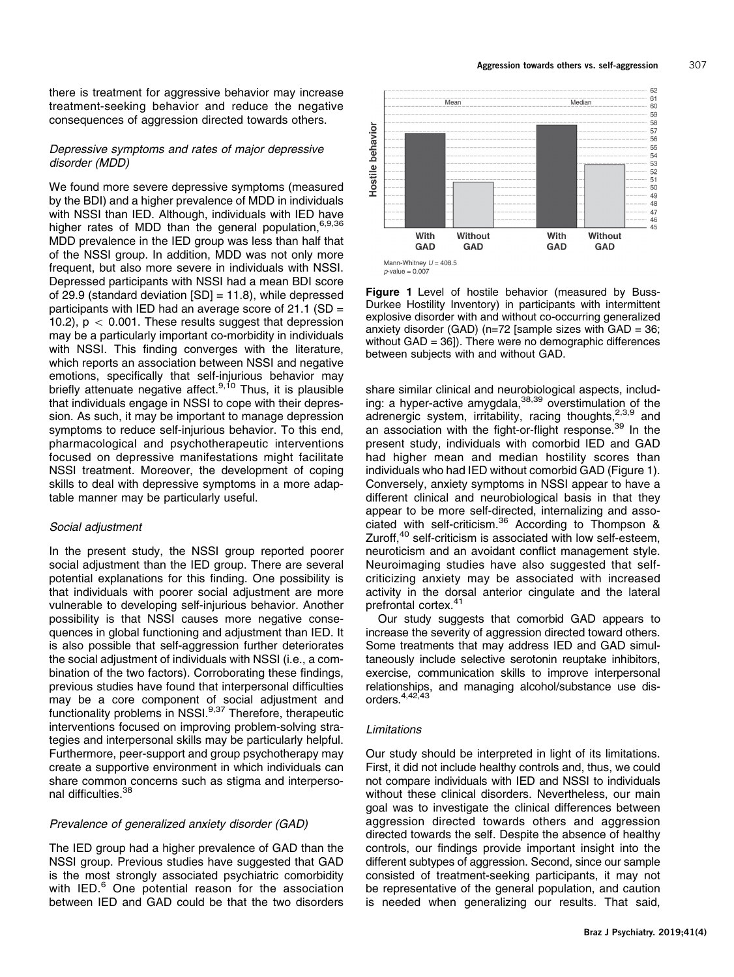there is treatment for aggressive behavior may increase treatment-seeking behavior and reduce the negative consequences of aggression directed towards others.

# Depressive symptoms and rates of major depressive disorder (MDD)

We found more severe depressive symptoms (measured by the BDI) and a higher prevalence of MDD in individuals with NSSI than IED. Although, individuals with IED have higher rates of MDD than the general population, [6,9](#page-5-0)[,36](#page-6-0) MDD prevalence in the IED group was less than half that of the NSSI group. In addition, MDD was not only more frequent, but also more severe in individuals with NSSI. Depressed participants with NSSI had a mean BDI score of 29.9 (standard deviation [SD] = 11.8), while depressed participants with IED had an average score of  $21.1$  (SD = 10.2),  $p < 0.001$ . These results suggest that depression may be a particularly important co-morbidity in individuals with NSSI. This finding converges with the literature, which reports an association between NSSI and negative emotions, specifically that self-injurious behavior may briefly attenuate negative affect.<sup>[9,10](#page-5-0)</sup> Thus, it is plausible that individuals engage in NSSI to cope with their depression. As such, it may be important to manage depression symptoms to reduce self-injurious behavior. To this end, pharmacological and psychotherapeutic interventions focused on depressive manifestations might facilitate NSSI treatment. Moreover, the development of coping skills to deal with depressive symptoms in a more adaptable manner may be particularly useful.

#### Social adjustment

In the present study, the NSSI group reported poorer social adjustment than the IED group. There are several potential explanations for this finding. One possibility is that individuals with poorer social adjustment are more vulnerable to developing self-injurious behavior. Another possibility is that NSSI causes more negative consequences in global functioning and adjustment than IED. It is also possible that self-aggression further deteriorates the social adjustment of individuals with NSSI (i.e., a combination of the two factors). Corroborating these findings, previous studies have found that interpersonal difficulties may be a core component of social adjustment and functionality problems in NSSI.<sup>9[,37](#page-6-0)</sup> Therefore, therapeutic interventions focused on improving problem-solving strategies and interpersonal skills may be particularly helpful. Furthermore, peer-support and group psychotherapy may create a supportive environment in which individuals can share common concerns such as stigma and interperso-nal difficulties.<sup>[38](#page-6-0)</sup>

#### Prevalence of generalized anxiety disorder (GAD)

The IED group had a higher prevalence of GAD than the NSSI group. Previous studies have suggested that GAD is the most strongly associated psychiatric comorbidity with IED.<sup>[6](#page-5-0)</sup> One potential reason for the association between IED and GAD could be that the two disorders



Figure 1 Level of hostile behavior (measured by Buss-Durkee Hostility Inventory) in participants with intermittent explosive disorder with and without co-occurring generalized anxiety disorder (GAD) ( $n=72$  [sample sizes with GAD = 36; without  $GAD = 36$ ]). There were no demographic differences between subjects with and without GAD.

share similar clinical and neurobiological aspects, includ-ing: a hyper-active amygdala,<sup>[38,39](#page-6-0)</sup> overstimulation of the adrenergic system, irritability, racing thoughts, $2,3,9$  and an association with the fight-or-flight response.<sup>[39](#page-6-0)</sup> In the present study, individuals with comorbid IED and GAD had higher mean and median hostility scores than individuals who had IED without comorbid GAD (Figure 1). Conversely, anxiety symptoms in NSSI appear to have a different clinical and neurobiological basis in that they appear to be more self-directed, internalizing and associated with self-criticism.[36](#page-6-0) According to Thompson & Zuroff, $40$  self-criticism is associated with low self-esteem, neuroticism and an avoidant conflict management style. Neuroimaging studies have also suggested that selfcriticizing anxiety may be associated with increased activity in the dorsal anterior cingulate and the lateral prefrontal cortex.<sup>41</sup>

Our study suggests that comorbid GAD appears to increase the severity of aggression directed toward others. Some treatments that may address IED and GAD simultaneously include selective serotonin reuptake inhibitors, exercise, communication skills to improve interpersonal relationships, and managing alcohol/substance use disorders. $4,42,43$  $4,42,43$ 

#### Limitations

Our study should be interpreted in light of its limitations. First, it did not include healthy controls and, thus, we could not compare individuals with IED and NSSI to individuals without these clinical disorders. Nevertheless, our main goal was to investigate the clinical differences between aggression directed towards others and aggression directed towards the self. Despite the absence of healthy controls, our findings provide important insight into the different subtypes of aggression. Second, since our sample consisted of treatment-seeking participants, it may not be representative of the general population, and caution is needed when generalizing our results. That said,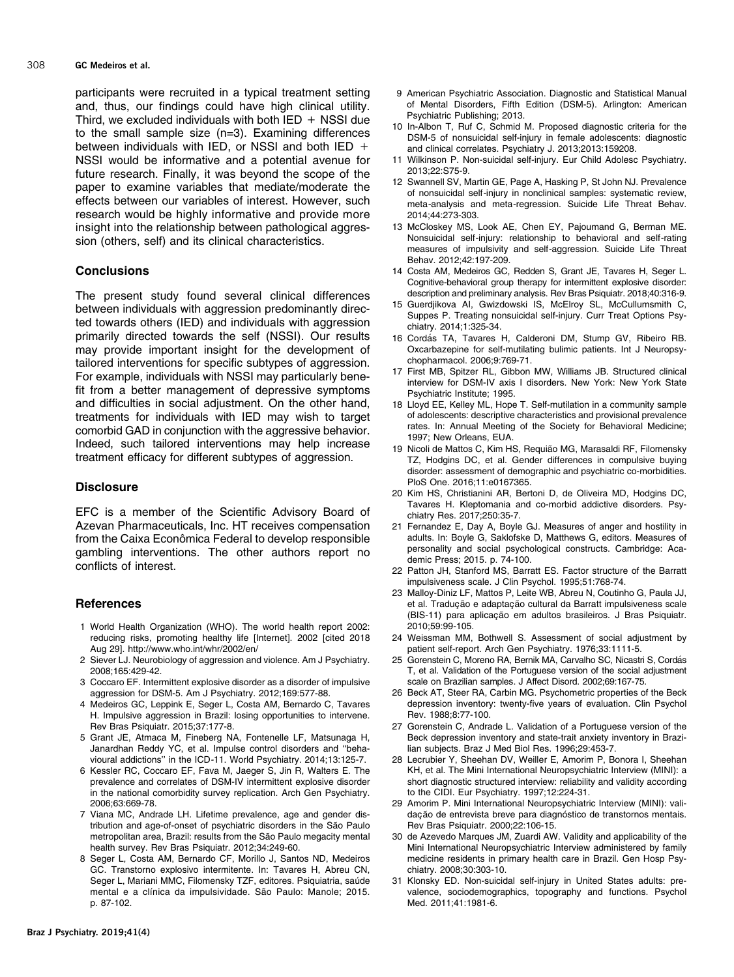<span id="page-5-0"></span>participants were recruited in a typical treatment setting and, thus, our findings could have high clinical utility. Third, we excluded individuals with both  $IED + NSS$ I due to the small sample size (n=3). Examining differences between individuals with IED, or NSSI and both IED  $+$ NSSI would be informative and a potential avenue for future research. Finally, it was beyond the scope of the paper to examine variables that mediate/moderate the effects between our variables of interest. However, such research would be highly informative and provide more insight into the relationship between pathological aggression (others, self) and its clinical characteristics.

# **Conclusions**

The present study found several clinical differences between individuals with aggression predominantly directed towards others (IED) and individuals with aggression primarily directed towards the self (NSSI). Our results may provide important insight for the development of tailored interventions for specific subtypes of aggression. For example, individuals with NSSI may particularly benefit from a better management of depressive symptoms and difficulties in social adjustment. On the other hand, treatments for individuals with IED may wish to target comorbid GAD in conjunction with the aggressive behavior. Indeed, such tailored interventions may help increase treatment efficacy for different subtypes of aggression.

#### **Disclosure**

EFC is a member of the Scientific Advisory Board of Azevan Pharmaceuticals, Inc. HT receives compensation from the Caixa Econômica Federal to develop responsible gambling interventions. The other authors report no conflicts of interest.

#### **References**

- 1 World Health Organization (WHO). The world health report 2002: reducing risks, promoting healthy life [Internet]. 2002 [cited 2018 Aug 29].<http://www.who.int/whr/2002/en/>
- 2 Siever LJ. Neurobiology of aggression and violence. Am J Psychiatry. 2008;165:429-42.
- 3 Coccaro EF. Intermittent explosive disorder as a disorder of impulsive aggression for DSM-5. Am J Psychiatry. 2012;169:577-88.
- 4 Medeiros GC, Leppink E, Seger L, Costa AM, Bernardo C, Tavares H. Impulsive aggression in Brazil: losing opportunities to intervene. Rev Bras Psiquiatr. 2015;37:177-8.
- 5 Grant JE, Atmaca M, Fineberg NA, Fontenelle LF, Matsunaga H, Janardhan Reddy YC, et al. Impulse control disorders and ''behavioural addictions'' in the ICD-11. World Psychiatry. 2014;13:125-7.
- 6 Kessler RC, Coccaro EF, Fava M, Jaeger S, Jin R, Walters E. The prevalence and correlates of DSM-IV intermittent explosive disorder in the national comorbidity survey replication. Arch Gen Psychiatry. 2006;63:669-78.
- 7 Viana MC, Andrade LH. Lifetime prevalence, age and gender distribution and age-of-onset of psychiatric disorders in the São Paulo metropolitan area, Brazil: results from the São Paulo megacity mental health survey. Rev Bras Psiquiatr. 2012;34:249-60.
- 8 Seger L, Costa AM, Bernardo CF, Morillo J, Santos ND, Medeiros GC. Transtorno explosivo intermitente. In: Tavares H, Abreu CN, Seger L, Mariani MMC, Filomensky TZF, editores. Psiquiatria, saúde mental e a clínica da impulsividade. São Paulo: Manole; 2015. p. 87-102.
- 9 American Psychiatric Association. Diagnostic and Statistical Manual of Mental Disorders, Fifth Edition (DSM-5). Arlington: American Psychiatric Publishing; 2013.
- 10 In-Albon T, Ruf C, Schmid M. Proposed diagnostic criteria for the DSM-5 of nonsuicidal self-injury in female adolescents: diagnostic and clinical correlates. Psychiatry J. 2013;2013:159208.
- 11 Wilkinson P. Non-suicidal self-injury. Eur Child Adolesc Psychiatry. 2013;22:S75-9.
- 12 Swannell SV, Martin GE, Page A, Hasking P, St John NJ. Prevalence of nonsuicidal self-injury in nonclinical samples: systematic review, meta-analysis and meta-regression. Suicide Life Threat Behav. 2014;44:273-303.
- 13 McCloskey MS, Look AE, Chen EY, Pajoumand G, Berman ME. Nonsuicidal self-injury: relationship to behavioral and self-rating measures of impulsivity and self-aggression. Suicide Life Threat Behav. 2012;42:197-209.
- 14 Costa AM, Medeiros GC, Redden S, Grant JE, Tavares H, Seger L. Cognitive-behavioral group therapy for intermittent explosive disorder: description and preliminary analysis. Rev Bras Psiquiatr. 2018;40:316-9.
- 15 Guerdjikova AI, Gwizdowski IS, McElroy SL, McCullumsmith C, Suppes P. Treating nonsuicidal self-injury. Curr Treat Options Psychiatry. 2014;1:325-34.
- 16 Cordás TA, Tavares H, Calderoni DM, Stump GV, Ribeiro RB. Oxcarbazepine for self-mutilating bulimic patients. Int J Neuropsychopharmacol. 2006;9:769-71.
- 17 First MB, Spitzer RL, Gibbon MW, Williams JB. Structured clinical interview for DSM-IV axis I disorders. New York: New York State Psychiatric Institute; 1995.
- 18 Lloyd EE, Kelley ML, Hope T. Self-mutilation in a community sample of adolescents: descriptive characteristics and provisional prevalence rates. In: Annual Meeting of the Society for Behavioral Medicine; 1997; New Orleans, EUA.
- 19 Nicoli de Mattos C, Kim HS, Requião MG, Marasaldi RF, Filomensky TZ, Hodgins DC, et al. Gender differences in compulsive buying disorder: assessment of demographic and psychiatric co-morbidities. PloS One. 2016;11:e0167365.
- 20 Kim HS, Christianini AR, Bertoni D, de Oliveira MD, Hodgins DC, Tavares H. Kleptomania and co-morbid addictive disorders. Psychiatry Res. 2017;250:35-7.
- 21 Fernandez E, Day A, Boyle GJ. Measures of anger and hostility in adults. In: Boyle G, Saklofske D, Matthews G, editors. Measures of personality and social psychological constructs. Cambridge: Academic Press; 2015. p. 74-100.
- 22 Patton JH, Stanford MS, Barratt ES. Factor structure of the Barratt impulsiveness scale. J Clin Psychol. 1995;51:768-74.
- 23 Malloy-Diniz LF, Mattos P, Leite WB, Abreu N, Coutinho G, Paula JJ, et al. Tradução e adaptação cultural da Barratt impulsiveness scale (BIS-11) para aplicação em adultos brasileiros. J Bras Psiquiatr. 2010;59:99-105.
- 24 Weissman MM, Bothwell S. Assessment of social adjustment by patient self-report. Arch Gen Psychiatry. 1976;33:1111-5.
- 25 Gorenstein C, Moreno RA, Bernik MA, Carvalho SC, Nicastri S, Cordás T, et al. Validation of the Portuguese version of the social adjustment scale on Brazilian samples. J Affect Disord. 2002;69:167-75.
- 26 Beck AT, Steer RA, Carbin MG. Psychometric properties of the Beck depression inventory: twenty-five years of evaluation. Clin Psychol Rev. 1988;8:77-100.
- 27 Gorenstein C, Andrade L. Validation of a Portuguese version of the Beck depression inventory and state-trait anxiety inventory in Brazilian subjects. Braz J Med Biol Res. 1996;29:453-7.
- 28 Lecrubier Y, Sheehan DV, Weiller E, Amorim P, Bonora I, Sheehan KH, et al. The Mini International Neuropsychiatric Interview (MINI): a short diagnostic structured interview: reliability and validity according to the CIDI. Eur Psychiatry. 1997;12:224-31.
- 29 Amorim P. Mini International Neuropsychiatric Interview (MINI): validação de entrevista breve para diagnóstico de transtornos mentais. Rev Bras Psiquiatr. 2000;22:106-15.
- 30 de Azevedo Marques JM, Zuardi AW. Validity and applicability of the Mini International Neuropsychiatric Interview administered by family medicine residents in primary health care in Brazil. Gen Hosp Psychiatry. 2008;30:303-10.
- 31 Klonsky ED. Non-suicidal self-injury in United States adults: prevalence, sociodemographics, topography and functions. Psychol Med. 2011;41:1981-6.